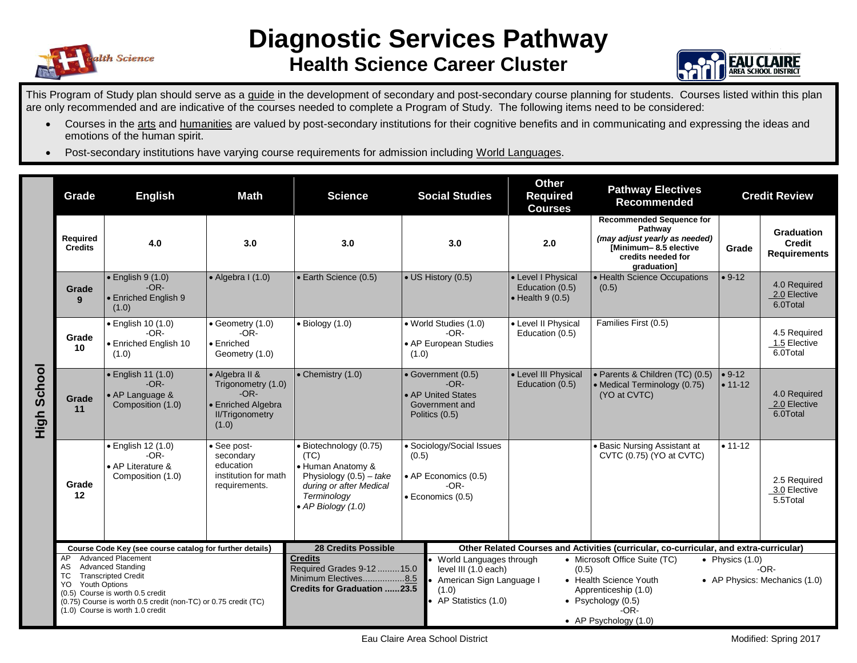

## **Diagnostic Services Pathway Health Science Career Cluster**



This Program of Study plan should serve as a guide in the development of secondary and post-secondary course planning for students. Courses listed within this plan are only recommended and are indicative of the courses needed to complete a Program of Study. The following items need to be considered:

- Courses in the arts and humanities are valued by post-secondary institutions for their cognitive benefits and in communicating and expressing the ideas and emotions of the human spirit.
- Post-secondary institutions have varying course requirements for admission including World Languages.

|                | Grade                                                                                                                                                                                                                                | <b>Math</b><br><b>English</b>                                                         |                                                                                                         | <b>Science</b>                                                                                                                                                                                                                                                                                                                                    | <b>Social Studies</b>                                                                     | <b>Other</b><br><b>Required</b><br><b>Courses</b>                 | <b>Pathway Electives</b><br><b>Recommended</b>                                                                                            | <b>Credit Review</b>        |                                                           |
|----------------|--------------------------------------------------------------------------------------------------------------------------------------------------------------------------------------------------------------------------------------|---------------------------------------------------------------------------------------|---------------------------------------------------------------------------------------------------------|---------------------------------------------------------------------------------------------------------------------------------------------------------------------------------------------------------------------------------------------------------------------------------------------------------------------------------------------------|-------------------------------------------------------------------------------------------|-------------------------------------------------------------------|-------------------------------------------------------------------------------------------------------------------------------------------|-----------------------------|-----------------------------------------------------------|
|                | Required<br><b>Credits</b>                                                                                                                                                                                                           | 4.0                                                                                   | 3.0                                                                                                     | 3.0                                                                                                                                                                                                                                                                                                                                               | 3.0                                                                                       | 2.0                                                               | <b>Recommended Sequence for</b><br>Pathway<br>(may adjust yearly as needed)<br>[Minimum-8.5 elective<br>credits needed for<br>graduation] | Grade                       | <b>Graduation</b><br><b>Credit</b><br><b>Requirements</b> |
| School<br>High | Grade<br>9                                                                                                                                                                                                                           | $\bullet$ English 9 $(1.0)$<br>$-OR-$<br>• Enriched English 9<br>(1.0)                | $\bullet$ Algebra I (1.0)                                                                               | • Earth Science (0.5)                                                                                                                                                                                                                                                                                                                             | • US History (0.5)                                                                        | • Level I Physical<br>Education (0.5)<br>$\bullet$ Health 9 (0.5) | • Health Science Occupations<br>(0.5)                                                                                                     | $• 9-12$                    | 4.0 Required<br>2.0 Elective<br>6.0Total                  |
|                | Grade<br>10                                                                                                                                                                                                                          | • English 10 (1.0)<br>$-OR-$<br>• Enriched English 10<br>(1.0)                        | $\bullet$ Geometry (1.0)<br>$-OR-$<br>• Enriched<br>Geometry (1.0)                                      | $\bullet$ Biology (1.0)                                                                                                                                                                                                                                                                                                                           | • World Studies (1.0)<br>-OR-<br>• AP European Studies<br>(1.0)                           | • Level II Physical<br>Education (0.5)                            | Families First (0.5)                                                                                                                      |                             | 4.5 Required<br>1.5 Elective<br>6.0Total                  |
|                | Grade<br>11                                                                                                                                                                                                                          | · English 11 (1.0)<br>$-OR-$<br>• AP Language &<br>Composition (1.0)                  | • Algebra II &<br>Trigonometry (1.0)<br>$-OR-$<br>• Enriched Algebra<br><b>II/Trigonometry</b><br>(1.0) | $\bullet$ Chemistry (1.0)                                                                                                                                                                                                                                                                                                                         | • Government (0.5)<br>$-OR-$<br>• AP United States<br>Government and<br>Politics (0.5)    | • Level III Physical<br>Education (0.5)                           | · Parents & Children (TC) (0.5)<br>• Medical Terminology (0.75)<br>(YO at CVTC)                                                           | $\cdot$ 9-12<br>$• 11 - 12$ | 4.0 Required<br>2.0 Elective<br>6.0Total                  |
|                | Grade<br>12                                                                                                                                                                                                                          | • English 12 (1.0)<br>$-OR-$<br>• AP Literature &<br>Composition (1.0)                | • See post-<br>secondary<br>education<br>institution for math<br>requirements.                          | · Biotechnology (0.75)<br>(TC)<br>• Human Anatomy &<br>Physiology $(0.5)$ – take<br>during or after Medical<br>Terminology<br>• AP Biology (1.0)                                                                                                                                                                                                  | · Sociology/Social Issues<br>(0.5)<br>• AP Economics (0.5)<br>$-OR-$<br>· Economics (0.5) |                                                                   | <b>Basic Nursing Assistant at</b><br>CVTC (0.75) (YO at CVTC)                                                                             | $• 11 - 12$                 | 2.5 Required<br>3.0 Elective<br>5.5Total                  |
|                | AP                                                                                                                                                                                                                                   | Course Code Key (see course catalog for further details)<br><b>Advanced Placement</b> |                                                                                                         | <b>28 Credits Possible</b><br>Other Related Courses and Activities (curricular, co-curricular, and extra-curricular)<br><b>Credits</b><br>World Languages through<br>• Microsoft Office Suite (TC)<br>• Physics $(1.0)$                                                                                                                           |                                                                                           |                                                                   |                                                                                                                                           |                             |                                                           |
|                | <b>Advanced Standing</b><br>AS<br><b>Transcripted Credit</b><br>TC<br>Youth Options<br>YO.<br>(0.5) Course is worth 0.5 credit<br>(0.75) Course is worth 0.5 credit (non-TC) or 0.75 credit (TC)<br>(1.0) Course is worth 1.0 credit |                                                                                       |                                                                                                         | Required Grades 9-12  15.0<br>level III (1.0 each)<br>$-OR-$<br>(0.5)<br>Minimum Electives8.5<br>American Sign Language I<br>• Health Science Youth<br>• AP Physics: Mechanics (1.0)<br><b>Credits for Graduation 23.5</b><br>(1.0)<br>Apprenticeship (1.0)<br>• AP Statistics (1.0)<br>• Psychology $(0.5)$<br>$-OR-$<br>• AP Psychology $(1.0)$ |                                                                                           |                                                                   |                                                                                                                                           |                             |                                                           |